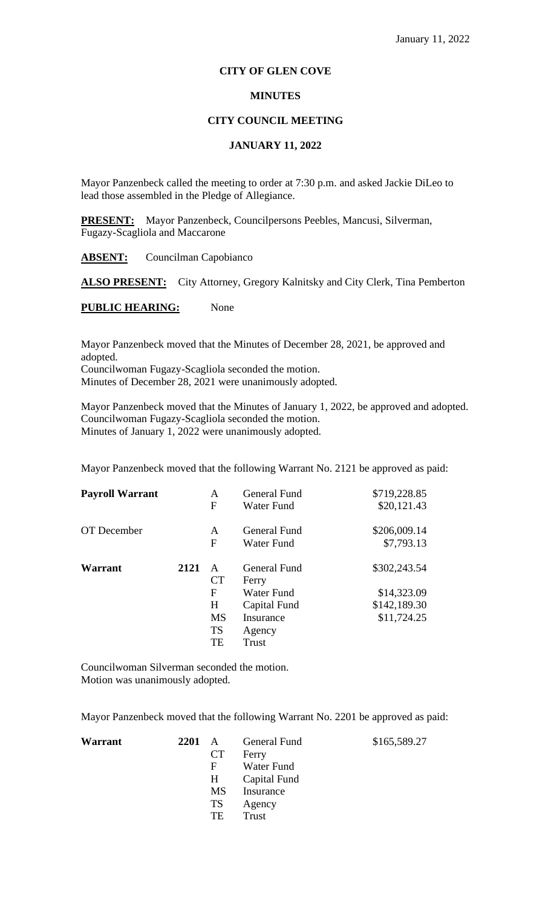## **CITY OF GLEN COVE**

## **MINUTES**

## **CITY COUNCIL MEETING**

# **JANUARY 11, 2022**

Mayor Panzenbeck called the meeting to order at 7:30 p.m. and asked Jackie DiLeo to lead those assembled in the Pledge of Allegiance.

**PRESENT:** Mayor Panzenbeck, Councilpersons Peebles, Mancusi, Silverman, Fugazy-Scagliola and Maccarone

**ABSENT:** Councilman Capobianco

ALSO PRESENT: City Attorney, Gregory Kalnitsky and City Clerk, Tina Pemberton

**PUBLIC HEARING:** None

Mayor Panzenbeck moved that the Minutes of December 28, 2021, be approved and adopted. Councilwoman Fugazy-Scagliola seconded the motion. Minutes of December 28, 2021 were unanimously adopted.

Mayor Panzenbeck moved that the Minutes of January 1, 2022, be approved and adopted. Councilwoman Fugazy-Scagliola seconded the motion. Minutes of January 1, 2022 were unanimously adopted.

Mayor Panzenbeck moved that the following Warrant No. 2121 be approved as paid:

| <b>Payroll Warrant</b> |      | A<br>F         | General Fund<br>Water Fund | \$719,228.85<br>\$20,121.43 |
|------------------------|------|----------------|----------------------------|-----------------------------|
| OT December            |      | A<br>F         | General Fund<br>Water Fund | \$206,009.14<br>\$7,793.13  |
| Warrant                | 2121 | A<br><b>CT</b> | General Fund<br>Ferry      | \$302,243.54                |
|                        |      | F              | Water Fund                 | \$14,323.09                 |
|                        |      | H              | Capital Fund               | \$142,189.30                |
|                        |      | <b>MS</b>      | Insurance                  | \$11,724.25                 |
|                        |      | <b>TS</b>      | Agency                     |                             |
|                        |      | TE             | Trust                      |                             |

Councilwoman Silverman seconded the motion. Motion was unanimously adopted.

Mayor Panzenbeck moved that the following Warrant No. 2201 be approved as paid:

| Warrant | 2201 A |                 | General Fund | \$165,589.27 |
|---------|--------|-----------------|--------------|--------------|
|         |        | <b>CT</b>       | Ferry        |              |
|         |        | F               | Water Fund   |              |
|         |        | $H_{\parallel}$ | Capital Fund |              |
|         |        | <b>MS</b>       | Insurance    |              |
|         |        | TS              | Agency       |              |
|         |        | TE              | Trust        |              |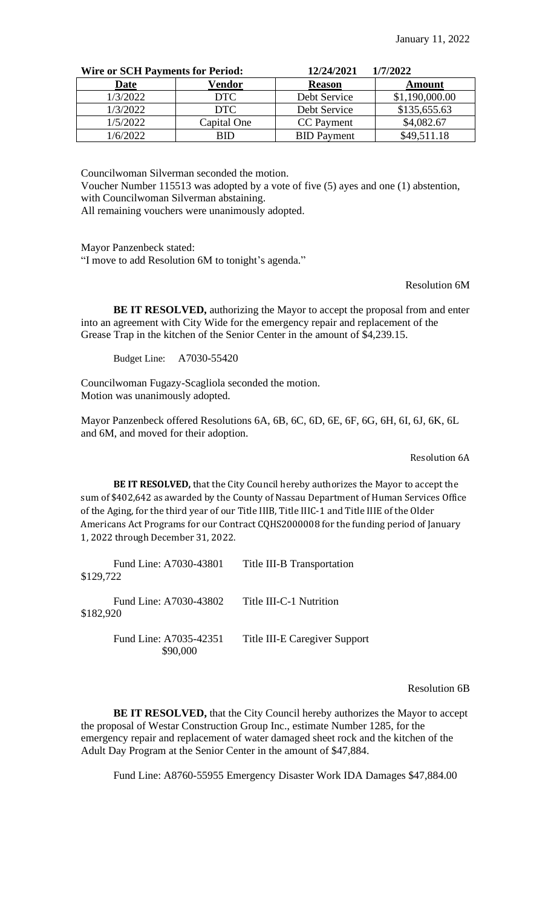| <b>Wire or SCH Payments for Period:</b> |             | 12/24/2021         | 1/7/2022       |
|-----------------------------------------|-------------|--------------------|----------------|
| <b>Date</b>                             | Vendor      | <b>Reason</b>      | Amount         |
| 1/3/2022                                | <b>DTC</b>  | Debt Service       | \$1,190,000.00 |
| 1/3/2022                                | <b>DTC</b>  | Debt Service       | \$135,655.63   |
| 1/5/2022                                | Capital One | CC Payment         | \$4,082.67     |
| /6/2022                                 | RID         | <b>BID</b> Payment | \$49,511.18    |

Councilwoman Silverman seconded the motion.

Voucher Number 115513 was adopted by a vote of five (5) ayes and one (1) abstention, with Councilwoman Silverman abstaining.

All remaining vouchers were unanimously adopted.

Mayor Panzenbeck stated:

"I move to add Resolution 6M to tonight's agenda."

Resolution 6M

**BE IT RESOLVED,** authorizing the Mayor to accept the proposal from and enter into an agreement with City Wide for the emergency repair and replacement of the Grease Trap in the kitchen of the Senior Center in the amount of \$4,239.15.

Budget Line: A7030-55420

Councilwoman Fugazy-Scagliola seconded the motion. Motion was unanimously adopted.

Mayor Panzenbeck offered Resolutions 6A, 6B, 6C, 6D, 6E, 6F, 6G, 6H, 6I, 6J, 6K, 6L and 6M, and moved for their adoption.

Resolution 6A

**BE IT RESOLVED,** that the City Council hereby authorizes the Mayor to accept the sum of \$402,642 as awarded by the County of Nassau Department of Human Services Office of the Aging, for the third year of our Title IIIB, Title IIIC-1 and Title IIIE of the Older Americans Act Programs for our Contract CQHS2000008 for the funding period of January 1, 2022 through December 31, 2022.

| Fund Line: A7030-43801<br>\$129,722 | Title III-B Transportation    |
|-------------------------------------|-------------------------------|
| Fund Line: A7030-43802<br>\$182,920 | Title III-C-1 Nutrition       |
| Fund Line: A7035-42351              | Title III-E Caregiver Support |

Resolution 6B

**BE IT RESOLVED,** that the City Council hereby authorizes the Mayor to accept the proposal of Westar Construction Group Inc., estimate Number 1285, for the emergency repair and replacement of water damaged sheet rock and the kitchen of the Adult Day Program at the Senior Center in the amount of \$47,884.

Fund Line: A8760-55955 Emergency Disaster Work IDA Damages \$47,884.00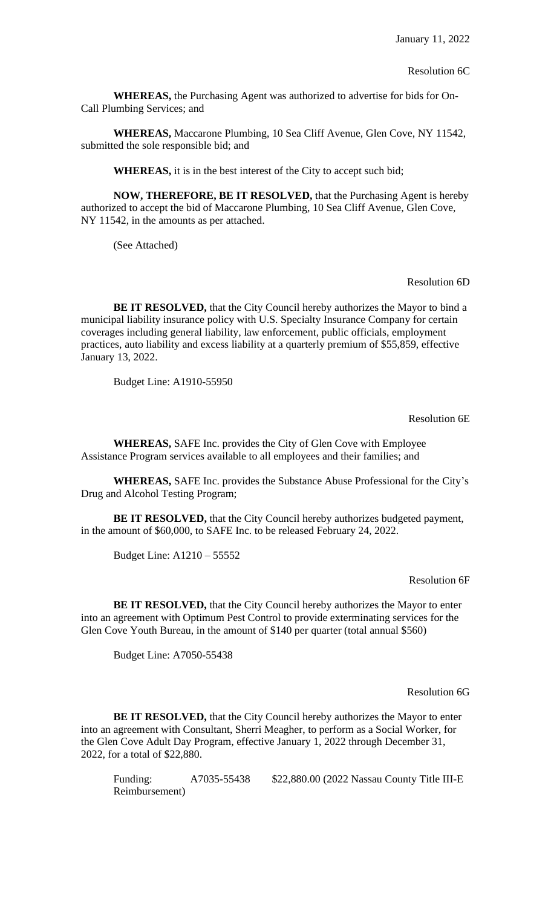**WHEREAS,** the Purchasing Agent was authorized to advertise for bids for On-Call Plumbing Services; and

**WHEREAS,** Maccarone Plumbing, 10 Sea Cliff Avenue, Glen Cove, NY 11542, submitted the sole responsible bid; and

**WHEREAS,** it is in the best interest of the City to accept such bid;

**NOW, THEREFORE, BE IT RESOLVED,** that the Purchasing Agent is hereby authorized to accept the bid of Maccarone Plumbing, 10 Sea Cliff Avenue, Glen Cove, NY 11542, in the amounts as per attached.

(See Attached)

## Resolution 6D

**BE IT RESOLVED,** that the City Council hereby authorizes the Mayor to bind a municipal liability insurance policy with U.S. Specialty Insurance Company for certain coverages including general liability, law enforcement, public officials, employment practices, auto liability and excess liability at a quarterly premium of \$55,859, effective January 13, 2022.

Budget Line: A1910-55950

Resolution 6E

**WHEREAS,** SAFE Inc. provides the City of Glen Cove with Employee Assistance Program services available to all employees and their families; and

**WHEREAS,** SAFE Inc. provides the Substance Abuse Professional for the City's Drug and Alcohol Testing Program;

**BE IT RESOLVED,** that the City Council hereby authorizes budgeted payment, in the amount of \$60,000, to SAFE Inc. to be released February 24, 2022.

Budget Line: A1210 – 55552

Resolution 6F

**BE IT RESOLVED,** that the City Council hereby authorizes the Mayor to enter into an agreement with Optimum Pest Control to provide exterminating services for the Glen Cove Youth Bureau, in the amount of \$140 per quarter (total annual \$560)

Budget Line: A7050-55438

Resolution 6G

BE IT RESOLVED, that the City Council hereby authorizes the Mayor to enter into an agreement with Consultant, Sherri Meagher, to perform as a Social Worker, for the Glen Cove Adult Day Program, effective January 1, 2022 through December 31, 2022, for a total of \$22,880.

Funding: A7035-55438 \$22,880.00 (2022 Nassau County Title III-E Reimbursement)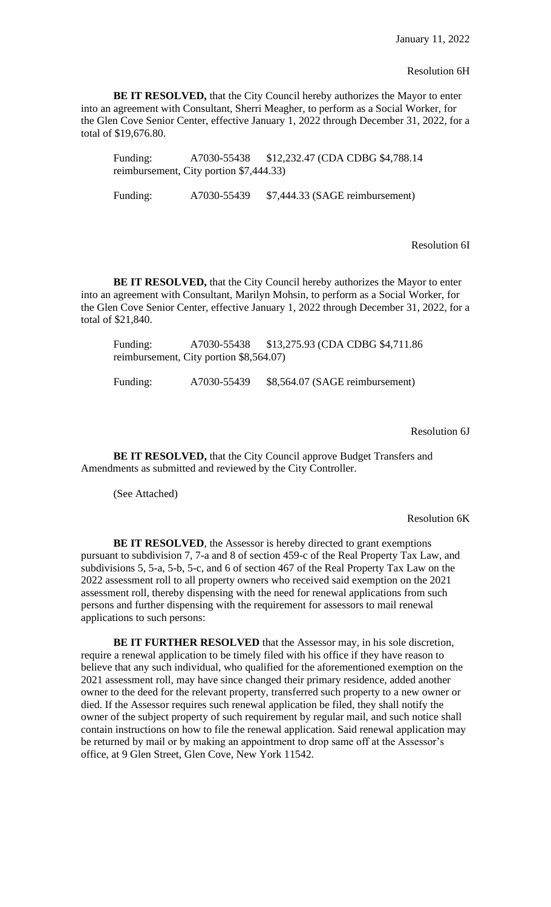#### Resolution 6H

**BE IT RESOLVED,** that the City Council hereby authorizes the Mayor to enter into an agreement with Consultant, Sherri Meagher, to perform as a Social Worker, for the Glen Cove Senior Center, effective January 1, 2022 through December 31, 2022, for a total of \$19,676.80.

Funding: A7030-55438 \$12,232.47 (CDA CDBG \$4,788.14 reimbursement, City portion \$7,444.33)

Funding: A7030-55439 \$7,444.33 (SAGE reimbursement)

Resolution 6I

**BE IT RESOLVED,** that the City Council hereby authorizes the Mayor to enter into an agreement with Consultant, Marilyn Mohsin, to perform as a Social Worker, for the Glen Cove Senior Center, effective January 1, 2022 through December 31, 2022, for a total of \$21,840.

Funding: A7030-55438 \$13,275.93 (CDA CDBG \$4,711.86 reimbursement, City portion \$8,564.07)

Funding: A7030-55439 \$8,564.07 (SAGE reimbursement)

Resolution 6J

**BE IT RESOLVED, that the City Council approve Budget Transfers and** Amendments as submitted and reviewed by the City Controller.

(See Attached)

Resolution 6K

**BE IT RESOLVED**, the Assessor is hereby directed to grant exemptions pursuant to subdivision 7, 7-a and 8 of section 459-c of the Real Property Tax Law, and subdivisions 5, 5-a, 5-b, 5-c, and 6 of section 467 of the Real Property Tax Law on the 2022 assessment roll to all property owners who received said exemption on the 2021 assessment roll, thereby dispensing with the need for renewal applications from such persons and further dispensing with the requirement for assessors to mail renewal applications to such persons:

**BE IT FURTHER RESOLVED** that the Assessor may, in his sole discretion, require a renewal application to be timely filed with his office if they have reason to believe that any such individual, who qualified for the aforementioned exemption on the 2021 assessment roll, may have since changed their primary residence, added another owner to the deed for the relevant property, transferred such property to a new owner or died. If the Assessor requires such renewal application be filed, they shall notify the owner of the subject property of such requirement by regular mail, and such notice shall contain instructions on how to file the renewal application. Said renewal application may be returned by mail or by making an appointment to drop same off at the Assessor's office, at 9 Glen Street, Glen Cove, New York 11542.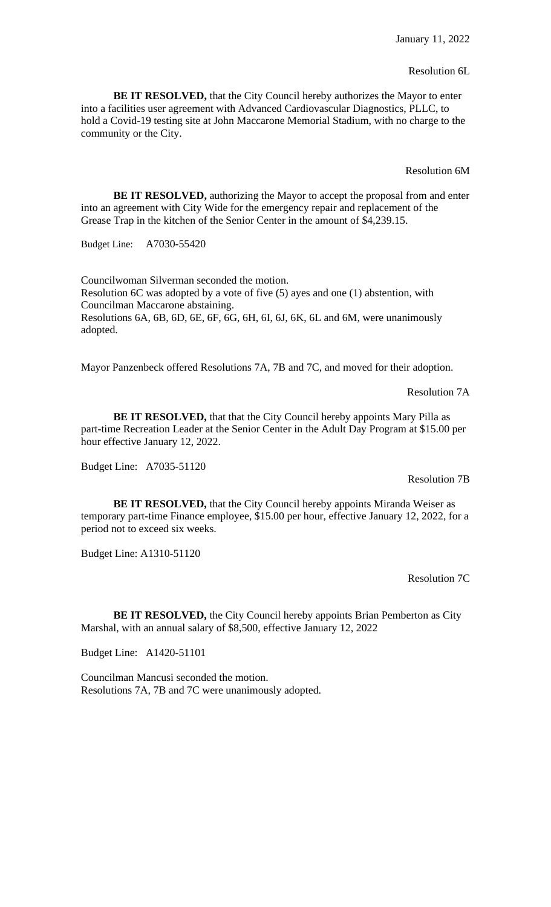### Resolution 6L

**BE IT RESOLVED,** that the City Council hereby authorizes the Mayor to enter into a facilities user agreement with Advanced Cardiovascular Diagnostics, PLLC, to hold a Covid-19 testing site at John Maccarone Memorial Stadium, with no charge to the community or the City.

Resolution 6M

**BE IT RESOLVED,** authorizing the Mayor to accept the proposal from and enter into an agreement with City Wide for the emergency repair and replacement of the Grease Trap in the kitchen of the Senior Center in the amount of \$4,239.15.

Budget Line: A7030-55420

Councilwoman Silverman seconded the motion. Resolution 6C was adopted by a vote of five (5) ayes and one (1) abstention, with Councilman Maccarone abstaining. Resolutions 6A, 6B, 6D, 6E, 6F, 6G, 6H, 6I, 6J, 6K, 6L and 6M, were unanimously adopted.

Mayor Panzenbeck offered Resolutions 7A, 7B and 7C, and moved for their adoption.

Resolution 7A

**BE IT RESOLVED,** that that the City Council hereby appoints Mary Pilla as part-time Recreation Leader at the Senior Center in the Adult Day Program at \$15.00 per hour effective January 12, 2022.

Budget Line: A7035-51120

Resolution 7B

**BE IT RESOLVED,** that the City Council hereby appoints Miranda Weiser as temporary part-time Finance employee, \$15.00 per hour, effective January 12, 2022, for a period not to exceed six weeks.

Budget Line: A1310-51120

Resolution 7C

**BE IT RESOLVED,** the City Council hereby appoints Brian Pemberton as City Marshal, with an annual salary of \$8,500, effective January 12, 2022

Budget Line: A1420-51101

Councilman Mancusi seconded the motion. Resolutions 7A, 7B and 7C were unanimously adopted.